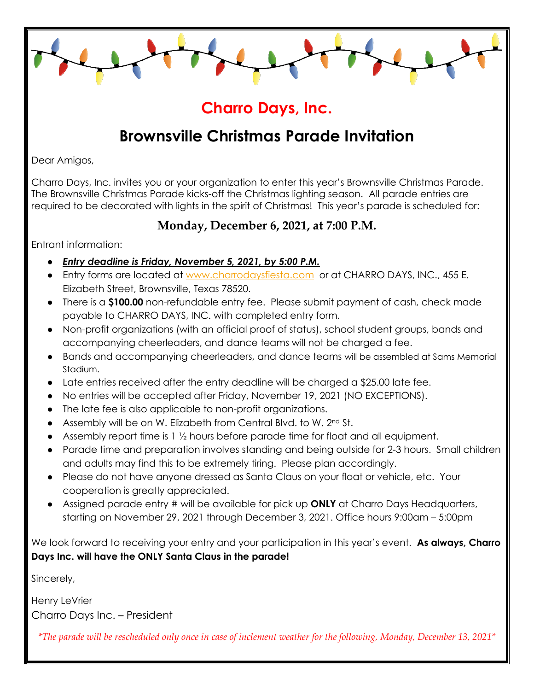## **Charro Days, Inc.**

# **Brownsville Christmas Parade Invitation**

Dear Amigos,

Charro Days, Inc. invites you or your organization to enter this year's Brownsville Christmas Parade. The Brownsville Christmas Parade kicks-off the Christmas lighting season. All parade entries are required to be decorated with lights in the spirit of Christmas! This year's parade is scheduled for:

### **Monday, December 6, 2021, at 7:00 P.M.**

Entrant information:

- *Entry deadline is Friday, November 5, 2021, by 5:00 P.M.*
- Entry forms are located at [www.charrodaysfiesta.com](http://www.charrodaysfiesta.com/) or at CHARRO DAYS, INC., 455 E. Elizabeth Street, Brownsville, Texas 78520.
- There is a **\$100.00** non-refundable entry fee. Please submit payment of cash, check made payable to CHARRO DAYS, INC. with completed entry form.
- Non-profit organizations (with an official proof of status), school student groups, bands and accompanying cheerleaders, and dance teams will not be charged a fee.
- Bands and accompanying cheerleaders, and dance teams will be assembled at Sams Memorial Stadium.
- Late entries received after the entry deadline will be charged a \$25.00 late fee.
- No entries will be accepted after Friday, November 19, 2021 (NO EXCEPTIONS).
- The late fee is also applicable to non-profit organizations.
- Assembly will be on W. Elizabeth from Central Blvd. to W. 2nd St.
- Assembly report time is 1 ½ hours before parade time for float and all equipment.
- Parade time and preparation involves standing and being outside for 2-3 hours. Small children and adults may find this to be extremely tiring. Please plan accordingly.
- Please do not have anyone dressed as Santa Claus on your float or vehicle, etc. Your cooperation is greatly appreciated.
- Assigned parade entry # will be available for pick up **ONLY** at Charro Days Headquarters, starting on November 29, 2021 through December 3, 2021. Office hours 9:00am – 5:00pm

We look forward to receiving your entry and your participation in this year's event. **As always, Charro Days Inc. will have the ONLY Santa Claus in the parade!** 

Sincerely,

Henry LeVrier Charro Days Inc. – President

*\*The parade will be rescheduled only once in case of inclement weather for the following, Monday, December 13, 2021\**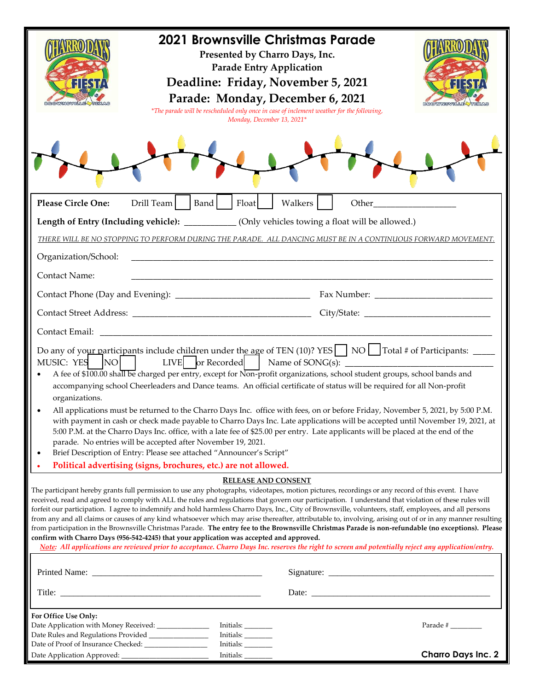|                                                                                                                                                                                                                                                                                                                                                                                                                                                                                                                                                                                                                                                                                                                                                                                                                                                                                                                                                                                                                                                                             | 2021 Brownsville Christmas Parade<br>*The parade will be rescheduled only once in case of inclement weather for the following, | Monday, December 13, 2021*          | Presented by Charro Days, Inc.<br><b>Parade Entry Application</b><br>Deadline: Friday, November 5, 2021<br>Parade: Monday, December 6, 2021 |       |                           |  |
|-----------------------------------------------------------------------------------------------------------------------------------------------------------------------------------------------------------------------------------------------------------------------------------------------------------------------------------------------------------------------------------------------------------------------------------------------------------------------------------------------------------------------------------------------------------------------------------------------------------------------------------------------------------------------------------------------------------------------------------------------------------------------------------------------------------------------------------------------------------------------------------------------------------------------------------------------------------------------------------------------------------------------------------------------------------------------------|--------------------------------------------------------------------------------------------------------------------------------|-------------------------------------|---------------------------------------------------------------------------------------------------------------------------------------------|-------|---------------------------|--|
| Drill Team<br><b>Please Circle One:</b>                                                                                                                                                                                                                                                                                                                                                                                                                                                                                                                                                                                                                                                                                                                                                                                                                                                                                                                                                                                                                                     | Band                                                                                                                           | Float                               | Walkers                                                                                                                                     | Other |                           |  |
| Length of Entry (Including vehicle): ___________ (Only vehicles towing a float will be allowed.)                                                                                                                                                                                                                                                                                                                                                                                                                                                                                                                                                                                                                                                                                                                                                                                                                                                                                                                                                                            |                                                                                                                                |                                     |                                                                                                                                             |       |                           |  |
| THERE WILL BE NO STOPPING TO PERFORM DURING THE PARADE. ALL DANCING MUST BE IN A CONTINUOUS FORWARD MOVEMENT.                                                                                                                                                                                                                                                                                                                                                                                                                                                                                                                                                                                                                                                                                                                                                                                                                                                                                                                                                               |                                                                                                                                |                                     |                                                                                                                                             |       |                           |  |
| Organization/School:                                                                                                                                                                                                                                                                                                                                                                                                                                                                                                                                                                                                                                                                                                                                                                                                                                                                                                                                                                                                                                                        |                                                                                                                                |                                     |                                                                                                                                             |       |                           |  |
| <b>Contact Name:</b>                                                                                                                                                                                                                                                                                                                                                                                                                                                                                                                                                                                                                                                                                                                                                                                                                                                                                                                                                                                                                                                        |                                                                                                                                |                                     |                                                                                                                                             |       |                           |  |
|                                                                                                                                                                                                                                                                                                                                                                                                                                                                                                                                                                                                                                                                                                                                                                                                                                                                                                                                                                                                                                                                             |                                                                                                                                |                                     |                                                                                                                                             |       |                           |  |
|                                                                                                                                                                                                                                                                                                                                                                                                                                                                                                                                                                                                                                                                                                                                                                                                                                                                                                                                                                                                                                                                             |                                                                                                                                |                                     |                                                                                                                                             |       |                           |  |
| Contact Email:                                                                                                                                                                                                                                                                                                                                                                                                                                                                                                                                                                                                                                                                                                                                                                                                                                                                                                                                                                                                                                                              |                                                                                                                                |                                     |                                                                                                                                             |       |                           |  |
| Do any of your participants include children under the age of TEN (10)? YES $\Box$ NO $\Box$ Total # of Participants: $\Box$<br>$N$ O<br>MUSIC: YES<br>A fee of \$100.00 shall be charged per entry, except for Non-profit organizations, school student groups, school bands and<br>accompanying school Cheerleaders and Dance teams. An official certificate of status will be required for all Non-profit<br>organizations.<br>All applications must be returned to the Charro Days Inc. office with fees, on or before Friday, November 5, 2021, by 5:00 P.M.<br>with payment in cash or check made payable to Charro Days Inc. Late applications will be accepted until November 19, 2021, at<br>5:00 P.M. at the Charro Days Inc. office, with a late fee of \$25.00 per entry. Late applicants will be placed at the end of the<br>parade. No entries will be accepted after November 19, 2021.<br>Brief Description of Entry: Please see attached "Announcer's Script"<br>$\bullet$<br>Political advertising (signs, brochures, etc.) are not allowed.<br>$\bullet$ |                                                                                                                                |                                     |                                                                                                                                             |       |                           |  |
|                                                                                                                                                                                                                                                                                                                                                                                                                                                                                                                                                                                                                                                                                                                                                                                                                                                                                                                                                                                                                                                                             |                                                                                                                                | <b>RELEASE AND CONSENT</b>          |                                                                                                                                             |       |                           |  |
| The participant hereby grants full permission to use any photographs, videotapes, motion pictures, recordings or any record of this event. I have<br>received, read and agreed to comply with ALL the rules and regulations that govern our participation. I understand that violation of these rules will<br>forfeit our participation. I agree to indemnify and hold harmless Charro Days, Inc., City of Brownsville, volunteers, staff, employees, and all persons<br>from any and all claims or causes of any kind whatsoever which may arise thereafter, attributable to, involving, arising out of or in any manner resulting<br>from participation in the Brownsville Christmas Parade. The entry fee to the Brownsville Christmas Parade is non-refundable (no exceptions). Please<br>confirm with Charro Days (956-542-4245) that your application was accepted and approved.<br>Note: All applications are reviewed prior to acceptance. Charro Days Inc. reserves the right to screen and potentially reject any application/entry.                              |                                                                                                                                |                                     |                                                                                                                                             |       |                           |  |
|                                                                                                                                                                                                                                                                                                                                                                                                                                                                                                                                                                                                                                                                                                                                                                                                                                                                                                                                                                                                                                                                             |                                                                                                                                |                                     |                                                                                                                                             |       |                           |  |
|                                                                                                                                                                                                                                                                                                                                                                                                                                                                                                                                                                                                                                                                                                                                                                                                                                                                                                                                                                                                                                                                             |                                                                                                                                |                                     |                                                                                                                                             | Date: |                           |  |
| For Office Use Only:<br>Date Application with Money Received: ______________                                                                                                                                                                                                                                                                                                                                                                                                                                                                                                                                                                                                                                                                                                                                                                                                                                                                                                                                                                                                |                                                                                                                                | Initials:<br>Initials:<br>Initials: |                                                                                                                                             |       | Parade #                  |  |
|                                                                                                                                                                                                                                                                                                                                                                                                                                                                                                                                                                                                                                                                                                                                                                                                                                                                                                                                                                                                                                                                             |                                                                                                                                | Initials:                           |                                                                                                                                             |       | <b>Charro Days Inc. 2</b> |  |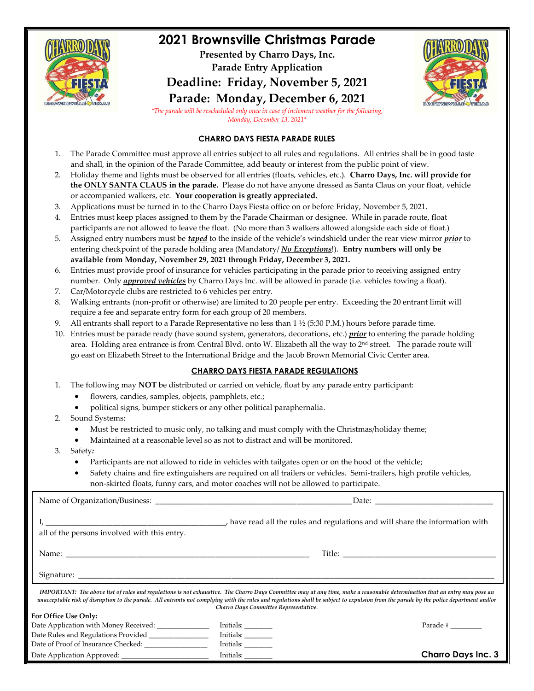

## **2021 Brownsville Christmas Parade**

**Presented by Charro Days, Inc. Parade Entry Application Deadline: Friday, November 5, 2021**



**Parade: Monday, December 6, 2021** *\*The parade will be rescheduled only once in case of inclement weather for the following, Monday, December 13, 2021\**

#### **CHARRO DAYS FIESTA PARADE RULES**

- 1. The Parade Committee must approve all entries subject to all rules and regulations. All entries shall be in good taste and shall, in the opinion of the Parade Committee, add beauty or interest from the public point of view.
- 2. Holiday theme and lights must be observed for all entries (floats, vehicles, etc.). **Charro Days, Inc. will provide for the ONLY SANTA CLAUS in the parade.** Please do not have anyone dressed as Santa Claus on your float, vehicle or accompanied walkers, etc. **Your cooperation is greatly appreciated.**
- 3. Applications must be turned in to the Charro Days Fiesta office on or before Friday, November 5, 2021.
- 4. Entries must keep places assigned to them by the Parade Chairman or designee. While in parade route, float participants are not allowed to leave the float. (No more than 3 walkers allowed alongside each side of float.)
- 5. Assigned entry numbers must be *taped* to the inside of the vehicle's windshield under the rear view mirror *prior* to entering checkpoint of the parade holding area (Mandatory/ *No Exceptions*!). **Entry numbers will only be available from Monday, November 29, 2021 through Friday, December 3, 2021.**
- 6. Entries must provide proof of insurance for vehicles participating in the parade prior to receiving assigned entry number. Only *approved vehicles* by Charro Days Inc. will be allowed in parade (i.e. vehicles towing a float).
- 7. Car/Motorcycle clubs are restricted to 6 vehicles per entry.
- 8. Walking entrants (non-profit or otherwise) are limited to 20 people per entry. Exceeding the 20 entrant limit will require a fee and separate entry form for each group of 20 members.
- 9. All entrants shall report to a Parade Representative no less than 1 ½ (5:30 P.M.) hours before parade time.
- 10. Entries must be parade ready (have sound system, generators, decorations, etc.) *prior* to entering the parade holding area. Holding area entrance is from Central Blvd. onto W. Elizabeth all the way to 2<sup>nd</sup> street. The parade route will go east on Elizabeth Street to the International Bridge and the Jacob Brown Memorial Civic Center area.

#### **CHARRO DAYS FIESTA PARADE REGULATIONS**

1. The following may **NOT** be distributed or carried on vehicle, float by any parade entry participant:

- flowers, candies, samples, objects, pamphlets, etc.;
- political signs, bumper stickers or any other political paraphernalia.
- 2. Sound Systems:
	- Must be restricted to music only, no talking and must comply with the Christmas/holiday theme;
	- Maintained at a reasonable level so as not to distract and will be monitored.
- 3. Safety*:*
	- Participants are not allowed to ride in vehicles with tailgates open or on the hood of the vehicle;
	- Safety chains and fire extinguishers are required on all trailers or vehicles. Semi-trailers, high profile vehicles, non-skirted floats, funny cars, and motor coaches will not be allowed to participate.

| all of the persons involved with this entry.           |                                            |                                                                                                                                                                                                                                                                                                                                                                      |  |  |
|--------------------------------------------------------|--------------------------------------------|----------------------------------------------------------------------------------------------------------------------------------------------------------------------------------------------------------------------------------------------------------------------------------------------------------------------------------------------------------------------|--|--|
|                                                        |                                            |                                                                                                                                                                                                                                                                                                                                                                      |  |  |
|                                                        |                                            |                                                                                                                                                                                                                                                                                                                                                                      |  |  |
|                                                        | Charro Days Committee Representative.      | IMPORTANT: The above list of rules and regulations is not exhaustive. The Charro Days Committee may at any time, make a reasonable determination that an entry may pose an<br>unacceptable risk of disruption to the parade. All entrants not complying with the rules and regulations shall be subject to expulsion from the parade by the police department and/or |  |  |
| For Office Use Only:                                   |                                            |                                                                                                                                                                                                                                                                                                                                                                      |  |  |
| Date Application with Money Received: ______________   |                                            |                                                                                                                                                                                                                                                                                                                                                                      |  |  |
| Date Rules and Regulations Provided __________________ | $\boxed{\text{Initials:}\_\_\_\_\_\_\_\_}$ |                                                                                                                                                                                                                                                                                                                                                                      |  |  |
| Date of Proof of Insurance Checked: __________________ | Initials:                                  |                                                                                                                                                                                                                                                                                                                                                                      |  |  |
| Date Application Approved: ___________________________ | Initials:                                  | <b>Charro Days Inc. 3</b>                                                                                                                                                                                                                                                                                                                                            |  |  |